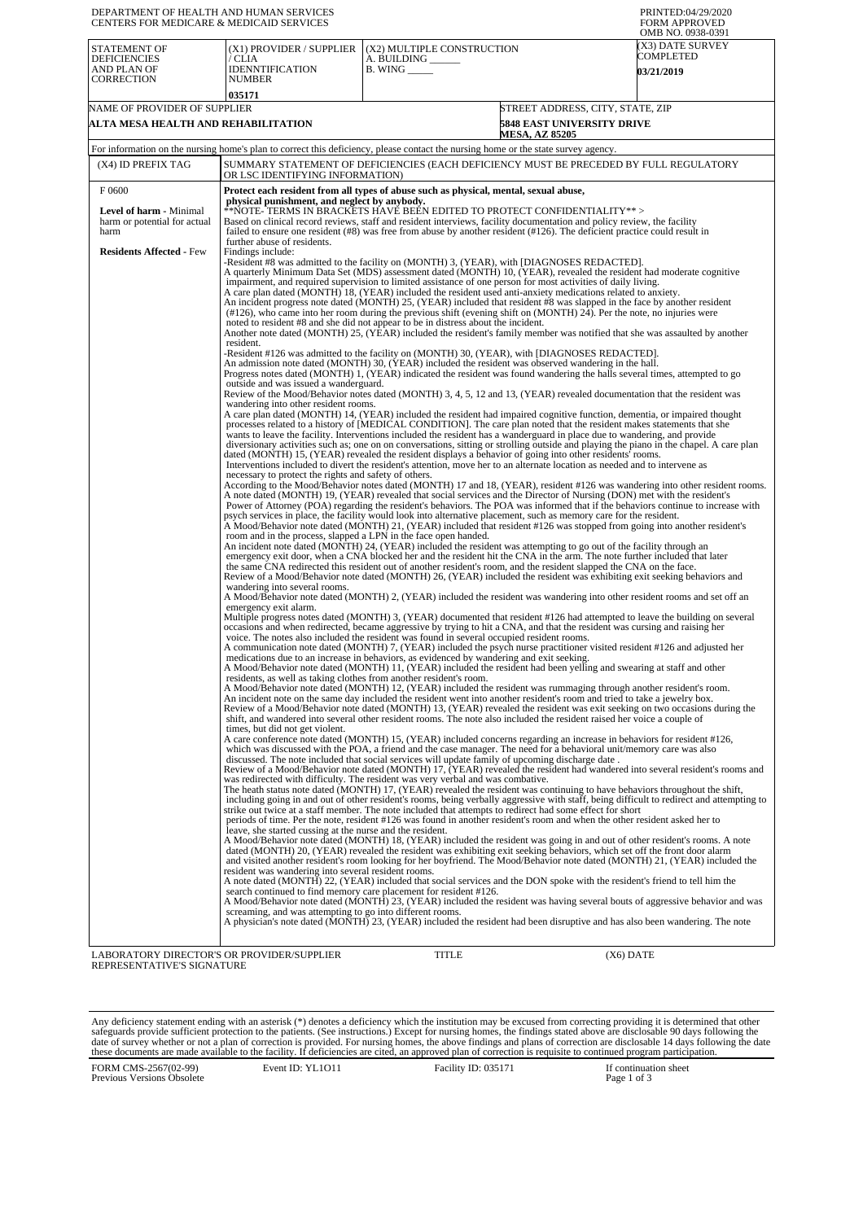| DEPARTMENT OF HEALTH AND HUMAN SERVICES<br>CENTERS FOR MEDICARE & MEDICAID SERVICES |                                                                                                                                                                                                                                                                                                                                                                                                                                                                                                                                                                                                                                                                                                                                                                                                                                                                                                        |                                                                                 |                                                                                                                                                                                                                                                                                                                                                                                                                                                                                                                                                                                                                                                                                                                                                                                                                                                                                                                                                                                                                                                                                                                                                                                                                                                                                                                                                                                                                                                                                                                                                                                                                                                                                                                                                                                                                                                                                                                                                                                                                                                                                                                                                                                                                                                                                                                                                                                                                                                                                                                                                                                                                                                                                                                                                                                                                                                                                                                                                                                                | PRINTED:04/29/2020<br><b>FORM APPROVED</b><br>OMB NO. 0938-0391 |  |
|-------------------------------------------------------------------------------------|--------------------------------------------------------------------------------------------------------------------------------------------------------------------------------------------------------------------------------------------------------------------------------------------------------------------------------------------------------------------------------------------------------------------------------------------------------------------------------------------------------------------------------------------------------------------------------------------------------------------------------------------------------------------------------------------------------------------------------------------------------------------------------------------------------------------------------------------------------------------------------------------------------|---------------------------------------------------------------------------------|------------------------------------------------------------------------------------------------------------------------------------------------------------------------------------------------------------------------------------------------------------------------------------------------------------------------------------------------------------------------------------------------------------------------------------------------------------------------------------------------------------------------------------------------------------------------------------------------------------------------------------------------------------------------------------------------------------------------------------------------------------------------------------------------------------------------------------------------------------------------------------------------------------------------------------------------------------------------------------------------------------------------------------------------------------------------------------------------------------------------------------------------------------------------------------------------------------------------------------------------------------------------------------------------------------------------------------------------------------------------------------------------------------------------------------------------------------------------------------------------------------------------------------------------------------------------------------------------------------------------------------------------------------------------------------------------------------------------------------------------------------------------------------------------------------------------------------------------------------------------------------------------------------------------------------------------------------------------------------------------------------------------------------------------------------------------------------------------------------------------------------------------------------------------------------------------------------------------------------------------------------------------------------------------------------------------------------------------------------------------------------------------------------------------------------------------------------------------------------------------------------------------------------------------------------------------------------------------------------------------------------------------------------------------------------------------------------------------------------------------------------------------------------------------------------------------------------------------------------------------------------------------------------------------------------------------------------------------------------------------|-----------------------------------------------------------------|--|
| <b>STATEMENT OF</b><br><b>DEFICIENCIES</b><br>AND PLAN OF<br><b>CORRECTION</b>      | (X1) PROVIDER / SUPPLIER<br>/ CLIA<br><b>IDENNTIFICATION</b><br><b>NUMBER</b><br>035171                                                                                                                                                                                                                                                                                                                                                                                                                                                                                                                                                                                                                                                                                                                                                                                                                | (X2) MULTIPLE CONSTRUCTION<br>A. BUILDING ______<br>$B.$ WING $\_\_\_\_\_\_\_\$ |                                                                                                                                                                                                                                                                                                                                                                                                                                                                                                                                                                                                                                                                                                                                                                                                                                                                                                                                                                                                                                                                                                                                                                                                                                                                                                                                                                                                                                                                                                                                                                                                                                                                                                                                                                                                                                                                                                                                                                                                                                                                                                                                                                                                                                                                                                                                                                                                                                                                                                                                                                                                                                                                                                                                                                                                                                                                                                                                                                                                | X3) DATE SURVEY<br>COMPLETED<br><b>03/21/2019</b>               |  |
| NAME OF PROVIDER OF SUPPLIER                                                        |                                                                                                                                                                                                                                                                                                                                                                                                                                                                                                                                                                                                                                                                                                                                                                                                                                                                                                        |                                                                                 | STREET ADDRESS, CITY, STATE, ZIP                                                                                                                                                                                                                                                                                                                                                                                                                                                                                                                                                                                                                                                                                                                                                                                                                                                                                                                                                                                                                                                                                                                                                                                                                                                                                                                                                                                                                                                                                                                                                                                                                                                                                                                                                                                                                                                                                                                                                                                                                                                                                                                                                                                                                                                                                                                                                                                                                                                                                                                                                                                                                                                                                                                                                                                                                                                                                                                                                               |                                                                 |  |
| ALTA MESA HEALTH AND REHABILITATION                                                 |                                                                                                                                                                                                                                                                                                                                                                                                                                                                                                                                                                                                                                                                                                                                                                                                                                                                                                        |                                                                                 | <b>5848 EAST UNIVERSITY DRIVE</b><br><b>MESA, AZ 85205</b>                                                                                                                                                                                                                                                                                                                                                                                                                                                                                                                                                                                                                                                                                                                                                                                                                                                                                                                                                                                                                                                                                                                                                                                                                                                                                                                                                                                                                                                                                                                                                                                                                                                                                                                                                                                                                                                                                                                                                                                                                                                                                                                                                                                                                                                                                                                                                                                                                                                                                                                                                                                                                                                                                                                                                                                                                                                                                                                                     |                                                                 |  |
|                                                                                     | For information on the nursing home's plan to correct this deficiency, please contact the nursing home or the state survey agency.                                                                                                                                                                                                                                                                                                                                                                                                                                                                                                                                                                                                                                                                                                                                                                     |                                                                                 |                                                                                                                                                                                                                                                                                                                                                                                                                                                                                                                                                                                                                                                                                                                                                                                                                                                                                                                                                                                                                                                                                                                                                                                                                                                                                                                                                                                                                                                                                                                                                                                                                                                                                                                                                                                                                                                                                                                                                                                                                                                                                                                                                                                                                                                                                                                                                                                                                                                                                                                                                                                                                                                                                                                                                                                                                                                                                                                                                                                                |                                                                 |  |
| (X4) ID PREFIX TAG                                                                  | SUMMARY STATEMENT OF DEFICIENCIES (EACH DEFICIENCY MUST BE PRECEDED BY FULL REGULATORY<br>OR LSC IDENTIFYING INFORMATION)                                                                                                                                                                                                                                                                                                                                                                                                                                                                                                                                                                                                                                                                                                                                                                              |                                                                                 |                                                                                                                                                                                                                                                                                                                                                                                                                                                                                                                                                                                                                                                                                                                                                                                                                                                                                                                                                                                                                                                                                                                                                                                                                                                                                                                                                                                                                                                                                                                                                                                                                                                                                                                                                                                                                                                                                                                                                                                                                                                                                                                                                                                                                                                                                                                                                                                                                                                                                                                                                                                                                                                                                                                                                                                                                                                                                                                                                                                                |                                                                 |  |
| F0600                                                                               | Protect each resident from all types of abuse such as physical, mental, sexual abuse,                                                                                                                                                                                                                                                                                                                                                                                                                                                                                                                                                                                                                                                                                                                                                                                                                  |                                                                                 |                                                                                                                                                                                                                                                                                                                                                                                                                                                                                                                                                                                                                                                                                                                                                                                                                                                                                                                                                                                                                                                                                                                                                                                                                                                                                                                                                                                                                                                                                                                                                                                                                                                                                                                                                                                                                                                                                                                                                                                                                                                                                                                                                                                                                                                                                                                                                                                                                                                                                                                                                                                                                                                                                                                                                                                                                                                                                                                                                                                                |                                                                 |  |
| Level of harm - Minimal<br>harm or potential for actual<br>harm                     | physical punishment, and neglect by anybody.<br>**NOTE- TERMS IN BRACKETS HAVE BEEN EDITED TO PROTECT CONFIDENTIALITY**><br>Based on clinical record reviews, staff and resident interviews, facility documentation and policy review, the facility<br>failed to ensure one resident (#8) was free from abuse by another resident (#126). The deficient practice could result in<br>further abuse of residents.                                                                                                                                                                                                                                                                                                                                                                                                                                                                                        |                                                                                 |                                                                                                                                                                                                                                                                                                                                                                                                                                                                                                                                                                                                                                                                                                                                                                                                                                                                                                                                                                                                                                                                                                                                                                                                                                                                                                                                                                                                                                                                                                                                                                                                                                                                                                                                                                                                                                                                                                                                                                                                                                                                                                                                                                                                                                                                                                                                                                                                                                                                                                                                                                                                                                                                                                                                                                                                                                                                                                                                                                                                |                                                                 |  |
| <b>Residents Affected - Few</b>                                                     | Findings include:<br>A quarterly Minimum Data Set (MDS) assessment dated (MONTH) 10, (YEAR), revealed the resident had moderate cognitive<br>noted to resident #8 and she did not appear to be in distress about the incident.<br>resident.<br>Progress notes dated (MONTH) 1, (YEAR) indicated the resident was found wandering the halls several times, attempted to go<br>outside and was issued a wanderguard.<br>wandering into other resident rooms.<br>necessary to protect the rights and safety of others.<br>psych services in place, the facility would look into alternative placement, such as memory care for the resident.<br>room and in the process, slapped a LPN in the face open handed.<br>wandering into several rooms.<br>emergency exit alarm.<br>Multiple progress notes dated (MONTH) 3, (YEAR) documented that resident #126 had attempted to leave the building on several |                                                                                 | -Resident #8 was admitted to the facility on (MONTH) 3, (YEAR), with [DIAGNOSES REDACTED].<br>impairment, and required supervision to limited assistance of one person for most activities of daily living.<br>A care plan dated (MONTH) 18, (YEAR) included the resident used anti-anxiety medications related to anxiety.<br>An incident progress note dated (MONTH) 25, (YEAR) included that resident #8 was slapped in the face by another resident<br>$(\#126)$ , who came into her room during the previous shift (evening shift on (MONTH) 24). Per the note, no injuries were<br>Another note dated (MONTH) 25, (YEAR) included the resident's family member was notified that she was assaulted by another<br>-Resident #126 was admitted to the facility on (MONTH) 30, (YEAR), with [DIAGNOSES REDACTED].<br>An admission note dated (MONTH) 30, (YEAR) included the resident was observed wandering in the hall.<br>Review of the Mood/Behavior notes dated (MONTH) 3, 4, 5, 12 and 13, (YEAR) revealed documentation that the resident was<br>A care plan dated (MONTH) 14, (YEAR) included the resident had impaired cognitive function, dementia, or impaired thought<br>processes related to a history of [MEDICAL CONDITION]. The care plan noted that the resident makes statements that she<br>wants to leave the facility. Interventions included the resident has a wanderguard in place due to wandering, and provide<br>diversionary activities such as; one on on conversations, sitting or strolling outside and playing the piano in the chapel. A care plan<br>dated (MONTH) 15, (YEAR) revealed the resident displays a behavior of going into other residents' rooms.<br>Interventions included to divert the resident's attention, move her to an alternate location as needed and to intervene as<br>According to the Mood/Behavior notes dated (MONTH) 17 and 18, (YEAR), resident #126 was wandering into other resident rooms.<br>A note dated (MONTH) 19, (YEAR) revealed that social services and the Director of Nursing (DON) met with the resident's<br>Power of Attorney (POA) regarding the resident's behaviors. The POA was informed that if the behaviors continue to increase with<br>A Mood/Behavior note dated (MONTH) 21, (YEAR) included that resident #126 was stopped from going into another resident's<br>An incident note dated (MONTH) 24, (YEAR) included the resident was attempting to go out of the facility through an<br>emergency exit door, when a CNA blocked her and the resident hit the CNA in the arm. The note further included that later<br>the same CNA redirected this resident out of another resident's room, and the resident slapped the CNA on the face.<br>Review of a Mood/Behavior note dated (MONTH) 26, (YEAR) included the resident was exhibiting exit seeking behaviors and<br>A Mood/Behavior note dated (MONTH) 2, (YEAR) included the resident was wandering into other resident rooms and set off an |                                                                 |  |
|                                                                                     | occasions and when redirected, became aggressive by trying to hit a CNA, and that the resident was cursing and raising her<br>voice. The notes also included the resident was found in several occupied resident rooms.<br>medications due to an increase in behaviors, as evidenced by wandering and exit seeking.<br>residents, as well as taking clothes from another resident's room.                                                                                                                                                                                                                                                                                                                                                                                                                                                                                                              |                                                                                 | A communication note dated (MONTH) 7, (YEAR) included the psych nurse practitioner visited resident #126 and adjusted her<br>A Mood/Behavior note dated (MONTH) 11, (YEAR) included the resident had been yelling and swearing at staff and other<br>A Mood/Behavior note dated (MONTH) 12, (YEAR) included the resident was rummaging through another resident's room.                                                                                                                                                                                                                                                                                                                                                                                                                                                                                                                                                                                                                                                                                                                                                                                                                                                                                                                                                                                                                                                                                                                                                                                                                                                                                                                                                                                                                                                                                                                                                                                                                                                                                                                                                                                                                                                                                                                                                                                                                                                                                                                                                                                                                                                                                                                                                                                                                                                                                                                                                                                                                        |                                                                 |  |
|                                                                                     | An incident note on the same day included the resident went into another resident's room and tried to take a jewelry box.<br>times, but did not get violent.<br>discussed. The note included that social services will update family of upcoming discharge date.                                                                                                                                                                                                                                                                                                                                                                                                                                                                                                                                                                                                                                       |                                                                                 | Review of a Mood/Behavior note dated (MONTH) 13, (YEAR) revealed the resident was exit seeking on two occasions during the<br>shift, and wandered into several other resident rooms. The note also included the resident raised her voice a couple of<br>A care conference note dated (MONTH) 15, (YEAR) included concerns regarding an increase in behaviors for resident #126,<br>which was discussed with the POA, a friend and the case manager. The need for a behavioral unit/memory care was also<br>Review of a Mood/Behavior note dated (MONTH) 17, (YEAR) revealed the resident had wandered into several resident's rooms and                                                                                                                                                                                                                                                                                                                                                                                                                                                                                                                                                                                                                                                                                                                                                                                                                                                                                                                                                                                                                                                                                                                                                                                                                                                                                                                                                                                                                                                                                                                                                                                                                                                                                                                                                                                                                                                                                                                                                                                                                                                                                                                                                                                                                                                                                                                                                       |                                                                 |  |
|                                                                                     | was redirected with difficulty. The resident was very verbal and was combative.<br>leave, she started cussing at the nurse and the resident.<br>resident was wandering into several resident rooms.                                                                                                                                                                                                                                                                                                                                                                                                                                                                                                                                                                                                                                                                                                    |                                                                                 | The heath status note dated (MONTH) 17, (YEAR) revealed the resident was continuing to have behaviors throughout the shift,<br>including going in and out of other resident's rooms, being verbally aggressive with staff, being difficult to redirect and attempting to<br>strike out twice at a staff member. The note included that attempts to redirect had some effect for short<br>periods of time. Per the note, resident #126 was found in another resident's room and when the other resident asked her to<br>A Mood/Behavior note dated (MONTH) 18, (YEAR) included the resident was going in and out of other resident's rooms. A note<br>dated (MONTH) 20, (YEAR) revealed the resident was exhibiting exit seeking behaviors, which set off the front door alarm<br>and visited another resident's room looking for her boyfriend. The Mood/Behavior note dated (MONTH) 21, (YEAR) included the<br>A note dated (MONTH) 22, (YEAR) included that social services and the DON spoke with the resident's friend to tell him the                                                                                                                                                                                                                                                                                                                                                                                                                                                                                                                                                                                                                                                                                                                                                                                                                                                                                                                                                                                                                                                                                                                                                                                                                                                                                                                                                                                                                                                                                                                                                                                                                                                                                                                                                                                                                                                                                                                                                     |                                                                 |  |
|                                                                                     | search continued to find memory care placement for resident #126.<br>screaming, and was attempting to go into different rooms.                                                                                                                                                                                                                                                                                                                                                                                                                                                                                                                                                                                                                                                                                                                                                                         |                                                                                 | A Mood/Behavior note dated (MONTH) 23, (YEAR) included the resident was having several bouts of aggressive behavior and was<br>A physician's note dated (MONTH) 23, (YEAR) included the resident had been disruptive and has also been wandering. The note                                                                                                                                                                                                                                                                                                                                                                                                                                                                                                                                                                                                                                                                                                                                                                                                                                                                                                                                                                                                                                                                                                                                                                                                                                                                                                                                                                                                                                                                                                                                                                                                                                                                                                                                                                                                                                                                                                                                                                                                                                                                                                                                                                                                                                                                                                                                                                                                                                                                                                                                                                                                                                                                                                                                     |                                                                 |  |
| LABORATORY DIRECTOR'S OR PROVIDER/SUPPLIER                                          |                                                                                                                                                                                                                                                                                                                                                                                                                                                                                                                                                                                                                                                                                                                                                                                                                                                                                                        | TITLE                                                                           | $(X6)$ DATE                                                                                                                                                                                                                                                                                                                                                                                                                                                                                                                                                                                                                                                                                                                                                                                                                                                                                                                                                                                                                                                                                                                                                                                                                                                                                                                                                                                                                                                                                                                                                                                                                                                                                                                                                                                                                                                                                                                                                                                                                                                                                                                                                                                                                                                                                                                                                                                                                                                                                                                                                                                                                                                                                                                                                                                                                                                                                                                                                                                    |                                                                 |  |

LABORATORY DIRECTOR'S OR PROVIDER/SUPPLIER REPRESENTATIVE'S SIGNATURE

 $(X6)$ 

Any deficiency statement ending with an asterisk (\*) denotes a deficiency which the institution may be excused from correcting providing it is determined that other safeguards provide sufficient protection to the patients.

FORM CMS-2567(02-99) Previous Versions Obsolete Event ID: YL1O11 Facility ID: 035171 If continuation sheet<br>Page 1 of 3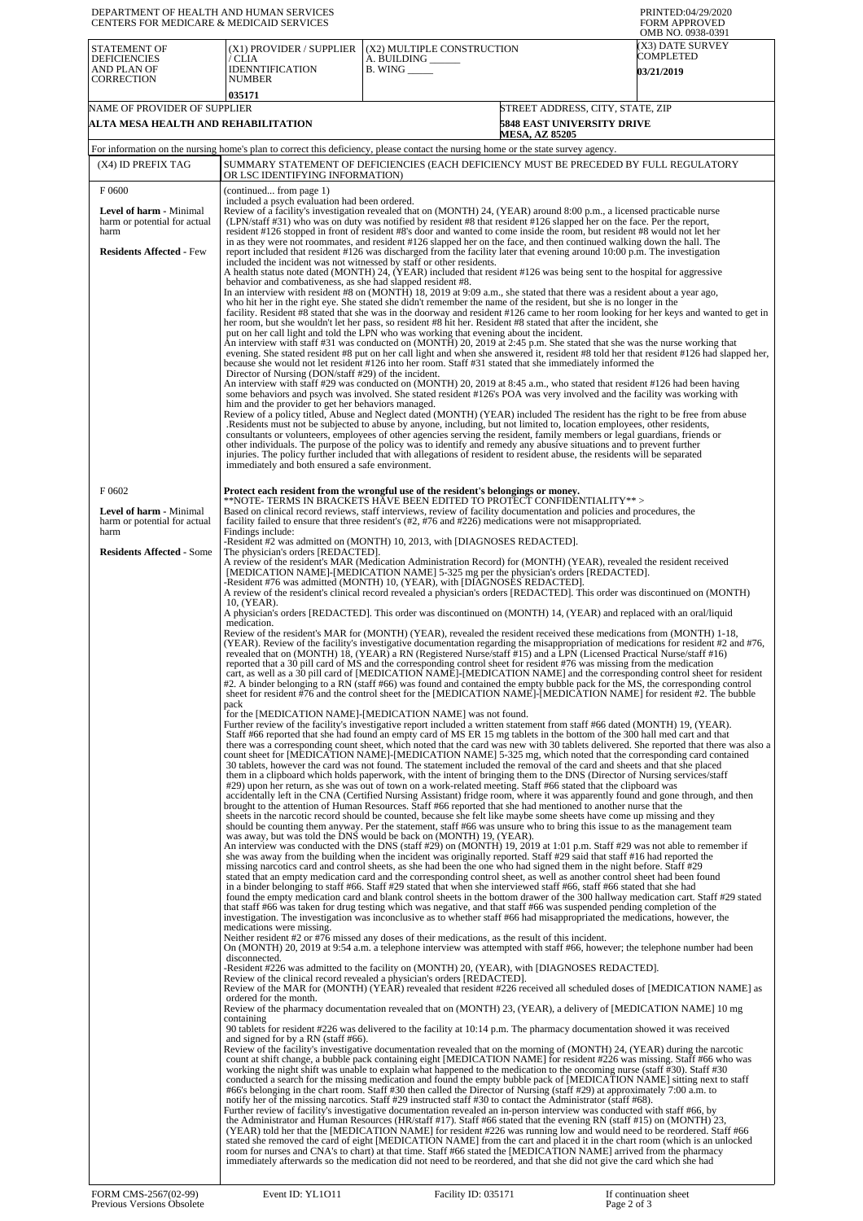| DEPARTMENT OF HEALTH AND HUMAN SERVICES<br>CENTERS FOR MEDICARE & MEDICAID SERVICES |                                                                                                                                                                                                                                                                                                                                                                                                                                                                                                                                                                                                                                                                                                                                                                                                                                                                                                                                                                                                                                                                                                                                                                                                                                                                                                                                                                                                                                                                                                                                                                                                                                                                                                                                                                                                                                                                                                                                                                                                                                                                                                                                                                                                                                                                                                                                                                                                                                                                                                                                                 |                                                                      |                                                                                                                                                                                                                                                                                                                                                                                                                                                                                                                                                                                                                                                                                                                                                                                                                                                                                                                                                                                                                                                                                                                                                                                                                                                                                                                                                                                                                                                                                                                                                                                                                                                                                                                                                                                                                                                                                                                                                                                                                                                                                                                                                                                                                                                                                                                                  | PRINTED:04/29/2020<br><b>FORM APPROVED</b><br>OMB NO. 0938-0391 |  |  |
|-------------------------------------------------------------------------------------|-------------------------------------------------------------------------------------------------------------------------------------------------------------------------------------------------------------------------------------------------------------------------------------------------------------------------------------------------------------------------------------------------------------------------------------------------------------------------------------------------------------------------------------------------------------------------------------------------------------------------------------------------------------------------------------------------------------------------------------------------------------------------------------------------------------------------------------------------------------------------------------------------------------------------------------------------------------------------------------------------------------------------------------------------------------------------------------------------------------------------------------------------------------------------------------------------------------------------------------------------------------------------------------------------------------------------------------------------------------------------------------------------------------------------------------------------------------------------------------------------------------------------------------------------------------------------------------------------------------------------------------------------------------------------------------------------------------------------------------------------------------------------------------------------------------------------------------------------------------------------------------------------------------------------------------------------------------------------------------------------------------------------------------------------------------------------------------------------------------------------------------------------------------------------------------------------------------------------------------------------------------------------------------------------------------------------------------------------------------------------------------------------------------------------------------------------------------------------------------------------------------------------------------------------|----------------------------------------------------------------------|----------------------------------------------------------------------------------------------------------------------------------------------------------------------------------------------------------------------------------------------------------------------------------------------------------------------------------------------------------------------------------------------------------------------------------------------------------------------------------------------------------------------------------------------------------------------------------------------------------------------------------------------------------------------------------------------------------------------------------------------------------------------------------------------------------------------------------------------------------------------------------------------------------------------------------------------------------------------------------------------------------------------------------------------------------------------------------------------------------------------------------------------------------------------------------------------------------------------------------------------------------------------------------------------------------------------------------------------------------------------------------------------------------------------------------------------------------------------------------------------------------------------------------------------------------------------------------------------------------------------------------------------------------------------------------------------------------------------------------------------------------------------------------------------------------------------------------------------------------------------------------------------------------------------------------------------------------------------------------------------------------------------------------------------------------------------------------------------------------------------------------------------------------------------------------------------------------------------------------------------------------------------------------------------------------------------------------|-----------------------------------------------------------------|--|--|
| <b>STATEMENT OF</b><br><b>DEFICIENCIES</b><br>AND PLAN OF<br><b>CORRECTION</b>      | (X1) PROVIDER / SUPPLIER<br>/ CLIA<br><b>IDENNTIFICATION</b><br><b>NUMBER</b><br>035171                                                                                                                                                                                                                                                                                                                                                                                                                                                                                                                                                                                                                                                                                                                                                                                                                                                                                                                                                                                                                                                                                                                                                                                                                                                                                                                                                                                                                                                                                                                                                                                                                                                                                                                                                                                                                                                                                                                                                                                                                                                                                                                                                                                                                                                                                                                                                                                                                                                         | (X2) MULTIPLE CONSTRUCTION<br>A. BUILDING _<br><b>B.</b> WING ______ |                                                                                                                                                                                                                                                                                                                                                                                                                                                                                                                                                                                                                                                                                                                                                                                                                                                                                                                                                                                                                                                                                                                                                                                                                                                                                                                                                                                                                                                                                                                                                                                                                                                                                                                                                                                                                                                                                                                                                                                                                                                                                                                                                                                                                                                                                                                                  | (X3) DATE SURVEY<br>COMPLETED<br><b>03/21/2019</b>              |  |  |
|                                                                                     | NAME OF PROVIDER OF SUPPLIER<br>STREET ADDRESS, CITY, STATE, ZIP<br>ALTA MESA HEALTH AND REHABILITATION<br><b>5848 EAST UNIVERSITY DRIVE</b><br><b>MESA, AZ 85205</b>                                                                                                                                                                                                                                                                                                                                                                                                                                                                                                                                                                                                                                                                                                                                                                                                                                                                                                                                                                                                                                                                                                                                                                                                                                                                                                                                                                                                                                                                                                                                                                                                                                                                                                                                                                                                                                                                                                                                                                                                                                                                                                                                                                                                                                                                                                                                                                           |                                                                      |                                                                                                                                                                                                                                                                                                                                                                                                                                                                                                                                                                                                                                                                                                                                                                                                                                                                                                                                                                                                                                                                                                                                                                                                                                                                                                                                                                                                                                                                                                                                                                                                                                                                                                                                                                                                                                                                                                                                                                                                                                                                                                                                                                                                                                                                                                                                  |                                                                 |  |  |
| (X4) ID PREFIX TAG                                                                  | For information on the nursing home's plan to correct this deficiency, please contact the nursing home or the state survey agency.                                                                                                                                                                                                                                                                                                                                                                                                                                                                                                                                                                                                                                                                                                                                                                                                                                                                                                                                                                                                                                                                                                                                                                                                                                                                                                                                                                                                                                                                                                                                                                                                                                                                                                                                                                                                                                                                                                                                                                                                                                                                                                                                                                                                                                                                                                                                                                                                              |                                                                      | SUMMARY STATEMENT OF DEFICIENCIES (EACH DEFICIENCY MUST BE PRECEDED BY FULL REGULATORY                                                                                                                                                                                                                                                                                                                                                                                                                                                                                                                                                                                                                                                                                                                                                                                                                                                                                                                                                                                                                                                                                                                                                                                                                                                                                                                                                                                                                                                                                                                                                                                                                                                                                                                                                                                                                                                                                                                                                                                                                                                                                                                                                                                                                                           |                                                                 |  |  |
| F0600                                                                               | OR LSC IDENTIFYING INFORMATION)<br>(continued from page 1)                                                                                                                                                                                                                                                                                                                                                                                                                                                                                                                                                                                                                                                                                                                                                                                                                                                                                                                                                                                                                                                                                                                                                                                                                                                                                                                                                                                                                                                                                                                                                                                                                                                                                                                                                                                                                                                                                                                                                                                                                                                                                                                                                                                                                                                                                                                                                                                                                                                                                      |                                                                      |                                                                                                                                                                                                                                                                                                                                                                                                                                                                                                                                                                                                                                                                                                                                                                                                                                                                                                                                                                                                                                                                                                                                                                                                                                                                                                                                                                                                                                                                                                                                                                                                                                                                                                                                                                                                                                                                                                                                                                                                                                                                                                                                                                                                                                                                                                                                  |                                                                 |  |  |
| Level of harm - Minimal<br>harm or potential for actual<br>harm                     | included a psych evaluation had been ordered.                                                                                                                                                                                                                                                                                                                                                                                                                                                                                                                                                                                                                                                                                                                                                                                                                                                                                                                                                                                                                                                                                                                                                                                                                                                                                                                                                                                                                                                                                                                                                                                                                                                                                                                                                                                                                                                                                                                                                                                                                                                                                                                                                                                                                                                                                                                                                                                                                                                                                                   |                                                                      | Review of a facility's investigation revealed that on (MONTH) 24, (YEAR) around 8:00 p.m., a licensed practicable nurse<br>(LPN/staff #31) who was on duty was notified by resident #8 that resident #126 slapped her on the face. Per the report,<br>resident #126 stopped in front of resident #8's door and wanted to come inside the room, but resident #8 would not let her                                                                                                                                                                                                                                                                                                                                                                                                                                                                                                                                                                                                                                                                                                                                                                                                                                                                                                                                                                                                                                                                                                                                                                                                                                                                                                                                                                                                                                                                                                                                                                                                                                                                                                                                                                                                                                                                                                                                                 |                                                                 |  |  |
| <b>Residents Affected - Few</b>                                                     | in as they were not roommates, and resident #126 slapped her on the face, and then continued walking down the hall. The<br>report included that resident #126 was discharged from the facility later that evening around 10:00 p.m. The investigation<br>included the incident was not witnessed by staff or other residents.<br>A health status note dated (MONTH) 24, (YEAR) included that resident #126 was being sent to the hospital for aggressive<br>behavior and combativeness, as she had slapped resident #8.<br>In an interview with resident #8 on (MONTH) 18, 2019 at 9:09 a.m., she stated that there was a resident about a year ago,<br>who hit her in the right eye. She stated she didn't remember the name of the resident, but she is no longer in the<br>facility. Resident #8 stated that she was in the doorway and resident #126 came to her room looking for her keys and wanted to get in<br>her room, but she wouldn't let her pass, so resident #8 hit her. Resident #8 stated that after the incident, she<br>put on her call light and told the LPN who was working that evening about the incident.<br>An interview with staff #31 was conducted on (MONTH) 20, 2019 at 2:45 p.m. She stated that she was the nurse working that<br>evening. She stated resident #8 put on her call light and when she answered it, resident #8 told her that resident #126 had slapped her,<br>because she would not let resident #126 into her room. Staff #31 stated that she immediately informed the<br>Director of Nursing (DON/staff #29) of the incident.<br>An interview with staff #29 was conducted on (MONTH) 20, 2019 at 8:45 a.m., who stated that resident #126 had been having<br>some behaviors and psych was involved. She stated resident #126's POA was very involved and the facility was working with<br>him and the provider to get her behaviors managed.<br>Review of a policy titled, Abuse and Neglect dated (MONTH) (YEAR) included The resident has the right to be free from abuse<br>Residents must not be subjected to abuse by anyone, including, but not limited to, location employees, other residents,<br>consultants or volunteers, employees of other agencies serving the resident, family members or legal guardians, friends or<br>other individuals. The purpose of the policy was to identify and remedy any abusive situations and to prevent further<br>injuries. The policy further included that with allegations of resident to resident abuse, the residents will be separated |                                                                      |                                                                                                                                                                                                                                                                                                                                                                                                                                                                                                                                                                                                                                                                                                                                                                                                                                                                                                                                                                                                                                                                                                                                                                                                                                                                                                                                                                                                                                                                                                                                                                                                                                                                                                                                                                                                                                                                                                                                                                                                                                                                                                                                                                                                                                                                                                                                  |                                                                 |  |  |
| F 0602<br>Level of harm - Minimal                                                   | immediately and both ensured a safe environment.<br>Protect each resident from the wrongful use of the resident's belongings or money.                                                                                                                                                                                                                                                                                                                                                                                                                                                                                                                                                                                                                                                                                                                                                                                                                                                                                                                                                                                                                                                                                                                                                                                                                                                                                                                                                                                                                                                                                                                                                                                                                                                                                                                                                                                                                                                                                                                                                                                                                                                                                                                                                                                                                                                                                                                                                                                                          |                                                                      | **NOTE- TERMS IN BRACKETS HĀVE BEEN EDITED TO PROTĒCT CONFIDENTIALITY**><br>Based on clinical record reviews, staff interviews, review of facility documentation and policies and procedures, the                                                                                                                                                                                                                                                                                                                                                                                                                                                                                                                                                                                                                                                                                                                                                                                                                                                                                                                                                                                                                                                                                                                                                                                                                                                                                                                                                                                                                                                                                                                                                                                                                                                                                                                                                                                                                                                                                                                                                                                                                                                                                                                                |                                                                 |  |  |
| harm or potential for actual<br>harm                                                | Findings include:                                                                                                                                                                                                                                                                                                                                                                                                                                                                                                                                                                                                                                                                                                                                                                                                                                                                                                                                                                                                                                                                                                                                                                                                                                                                                                                                                                                                                                                                                                                                                                                                                                                                                                                                                                                                                                                                                                                                                                                                                                                                                                                                                                                                                                                                                                                                                                                                                                                                                                                               |                                                                      | facility failed to ensure that three resident's (#2, #76 and #226) medications were not misappropriated.                                                                                                                                                                                                                                                                                                                                                                                                                                                                                                                                                                                                                                                                                                                                                                                                                                                                                                                                                                                                                                                                                                                                                                                                                                                                                                                                                                                                                                                                                                                                                                                                                                                                                                                                                                                                                                                                                                                                                                                                                                                                                                                                                                                                                         |                                                                 |  |  |
| <b>Residents Affected - Some</b>                                                    | -Resident #2 was admitted on (MONTH) 10, 2013, with [DIAGNOSES REDACTED].<br>The physician's orders [REDACTED].<br>A review of the resident's MAR (Medication Administration Record) for (MONTH) (YEAR), revealed the resident received<br>[MEDICATION NAME]-[MEDICATION NAME] 5-325 mg per the physician's orders [REDACTED].<br>-Resident #76 was admitted (MONTH) 10, (YEAR), with [DIAGNOSES REDACTED].<br>A review of the resident's clinical record revealed a physician's orders [REDACTED]. This order was discontinued on (MONTH)<br>10, (YEAR).<br>A physician's orders [REDACTED]. This order was discontinued on (MONTH) 14, (YEAR) and replaced with an oral/liquid<br>medication.<br>Review of the resident's MAR for (MONTH) (YEAR), revealed the resident received these medications from (MONTH) 1-18,<br>(YEAR). Review of the facility's investigative documentation regarding the misappropriation of medications for resident #2 and #76,                                                                                                                                                                                                                                                                                                                                                                                                                                                                                                                                                                                                                                                                                                                                                                                                                                                                                                                                                                                                                                                                                                                                                                                                                                                                                                                                                                                                                                                                                                                                                                                  |                                                                      |                                                                                                                                                                                                                                                                                                                                                                                                                                                                                                                                                                                                                                                                                                                                                                                                                                                                                                                                                                                                                                                                                                                                                                                                                                                                                                                                                                                                                                                                                                                                                                                                                                                                                                                                                                                                                                                                                                                                                                                                                                                                                                                                                                                                                                                                                                                                  |                                                                 |  |  |
|                                                                                     | pack<br>for the [MEDICATION NAME]-[MEDICATION NAME] was not found.                                                                                                                                                                                                                                                                                                                                                                                                                                                                                                                                                                                                                                                                                                                                                                                                                                                                                                                                                                                                                                                                                                                                                                                                                                                                                                                                                                                                                                                                                                                                                                                                                                                                                                                                                                                                                                                                                                                                                                                                                                                                                                                                                                                                                                                                                                                                                                                                                                                                              |                                                                      | revealed that on (MONTH) 18, (YEAR) a RN (Registered Nurse/staff #15) and a LPN (Licensed Practical Nurse/staff #16)<br>reported that a 30 pill card of MS and the corresponding control sheet for resident #76 was missing from the medication<br>cart, as well as a 30 pill card of [MEDICATION NAME]-[MEDICATION NAME] and the corresponding control sheet for resident<br>#2. A binder belonging to a RN (staff #66) was found and contained the empty bubble pack for the MS, the corresponding control<br>sheet for resident #76 and the control sheet for the [MEDICATION NAME]-[MEDICATION NAME] for resident #2. The bubble                                                                                                                                                                                                                                                                                                                                                                                                                                                                                                                                                                                                                                                                                                                                                                                                                                                                                                                                                                                                                                                                                                                                                                                                                                                                                                                                                                                                                                                                                                                                                                                                                                                                                             |                                                                 |  |  |
|                                                                                     | was away, but was told the DNS would be back on (MONTH) 19, (YEAR).                                                                                                                                                                                                                                                                                                                                                                                                                                                                                                                                                                                                                                                                                                                                                                                                                                                                                                                                                                                                                                                                                                                                                                                                                                                                                                                                                                                                                                                                                                                                                                                                                                                                                                                                                                                                                                                                                                                                                                                                                                                                                                                                                                                                                                                                                                                                                                                                                                                                             |                                                                      | Further review of the facility's investigative report included a written statement from staff #66 dated (MONTH) 19, (YEAR).<br>Staff #66 reported that she had found an empty card of MS ER 15 mg tablets in the bottom of the 300 hall med cart and that<br>there was a corresponding count sheet, which noted that the card was new with 30 tablets delivered. She reported that there was also a<br>count sheet for [MEDICATION NAME]-[MEDICATION NAME] 5-325 mg, which noted that the corresponding card contained<br>30 tablets, however the card was not found. The statement included the removal of the card and sheets and that she placed<br>them in a clipboard which holds paperwork, with the intent of bringing them to the DNS (Director of Nursing services/staff<br>#29) upon her return, as she was out of town on a work-related meeting. Staff #66 stated that the clipboard was<br>accidentally left in the CNA (Certified Nursing Assistant) fridge room, where it was apparently found and gone through, and then<br>brought to the attention of Human Resources. Staff #66 reported that she had mentioned to another nurse that the<br>sheets in the narcotic record should be counted, because she felt like maybe some sheets have come up missing and they<br>should be counting them anyway. Per the statement, staff #66 was unsure who to bring this issue to as the management team<br>An interview was conducted with the DNS (staff #29) on (MONTH) 19, 2019 at 1:01 p.m. Staff #29 was not able to remember if<br>she was away from the building when the incident was originally reported. Staff #29 said that staff #16 had reported the<br>missing narcotics card and control sheets, as she had been the one who had signed them in the night before. Staff #29<br>stated that an empty medication card and the corresponding control sheet, as well as another control sheet had been found<br>in a binder belonging to staff #66. Staff #29 stated that when she interviewed staff #66, staff #66 stated that she had<br>found the empty medication card and blank control sheets in the bottom drawer of the 300 hallway medication cart. Staff #29 stated<br>that staff #66 was taken for drug testing which was negative, and that staff #66 was suspended pending completion of the |                                                                 |  |  |
|                                                                                     | medications were missing.<br>Neither resident #2 or #76 missed any doses of their medications, as the result of this incident.<br>disconnected.<br>Review of the clinical record revealed a physician's orders [REDACTED].                                                                                                                                                                                                                                                                                                                                                                                                                                                                                                                                                                                                                                                                                                                                                                                                                                                                                                                                                                                                                                                                                                                                                                                                                                                                                                                                                                                                                                                                                                                                                                                                                                                                                                                                                                                                                                                                                                                                                                                                                                                                                                                                                                                                                                                                                                                      |                                                                      | investigation. The investigation was inconclusive as to whether staff #66 had misappropriated the medications, however, the<br>On (MONTH) 20, 2019 at 9:54 a.m. a telephone interview was attempted with staff #66, however; the telephone number had been<br>-Resident #226 was admitted to the facility on (MONTH) 20, (YEAR), with [DIAGNOSES REDACTED].                                                                                                                                                                                                                                                                                                                                                                                                                                                                                                                                                                                                                                                                                                                                                                                                                                                                                                                                                                                                                                                                                                                                                                                                                                                                                                                                                                                                                                                                                                                                                                                                                                                                                                                                                                                                                                                                                                                                                                      |                                                                 |  |  |
|                                                                                     | ordered for the month.<br>containing<br>and signed for by a RN (staff #66).                                                                                                                                                                                                                                                                                                                                                                                                                                                                                                                                                                                                                                                                                                                                                                                                                                                                                                                                                                                                                                                                                                                                                                                                                                                                                                                                                                                                                                                                                                                                                                                                                                                                                                                                                                                                                                                                                                                                                                                                                                                                                                                                                                                                                                                                                                                                                                                                                                                                     |                                                                      | Review of the MAR for (MONTH) (YEAR) revealed that resident #226 received all scheduled doses of [MEDICATION NAME] as<br>Review of the pharmacy documentation revealed that on (MONTH) 23, (YEAR), a delivery of [MEDICATION NAME] 10 mg<br>90 tablets for resident #226 was delivered to the facility at 10:14 p.m. The pharmacy documentation showed it was received<br>Review of the facility's investigative documentation revealed that on the morning of (MONTH) 24, (YEAR) during the narcotic<br>count at shift change, a bubble pack containing eight [MEDICATION NAME] for resident #226 was missing. Staff #66 who was<br>working the night shift was unable to explain what happened to the medication to the oncoming nurse (staff #30). Staff #30<br>conducted a search for the missing medication and found the empty bubble pack of [MEDICATION NAME] sitting next to staff<br>#66's belonging in the chart room. Staff #30 then called the Director of Nursing (staff #29) at approximately 7:00 a.m. to<br>notify her of the missing narcotics. Staff #29 instructed staff #30 to contact the Administrator (staff #68).<br>Further review of facility's investigative documentation revealed an in-person interview was conducted with staff #66, by<br>the Administrator and Human Resources (HR/staff #17). Staff #66 stated that the evening RN (staff #15) on (MONTH) 23,<br>(YEAR) told her that the [MEDICATION NAME] for resident #226 was running low and would need to be reordered. Staff #66<br>stated she removed the card of eight [MEDICATION NAME] from the cart and placed it in the chart room (which is an unlocked<br>room for nurses and CNA's to chart) at that time. Staff #66 stated the [MEDICATION NAME] arrived from the pharmacy<br>immediately afterwards so the medication did not need to be reordered, and that she did not give the card which she had                                                                                                                                                                                                                                                                                                                                                                                                                        |                                                                 |  |  |
|                                                                                     |                                                                                                                                                                                                                                                                                                                                                                                                                                                                                                                                                                                                                                                                                                                                                                                                                                                                                                                                                                                                                                                                                                                                                                                                                                                                                                                                                                                                                                                                                                                                                                                                                                                                                                                                                                                                                                                                                                                                                                                                                                                                                                                                                                                                                                                                                                                                                                                                                                                                                                                                                 |                                                                      |                                                                                                                                                                                                                                                                                                                                                                                                                                                                                                                                                                                                                                                                                                                                                                                                                                                                                                                                                                                                                                                                                                                                                                                                                                                                                                                                                                                                                                                                                                                                                                                                                                                                                                                                                                                                                                                                                                                                                                                                                                                                                                                                                                                                                                                                                                                                  |                                                                 |  |  |